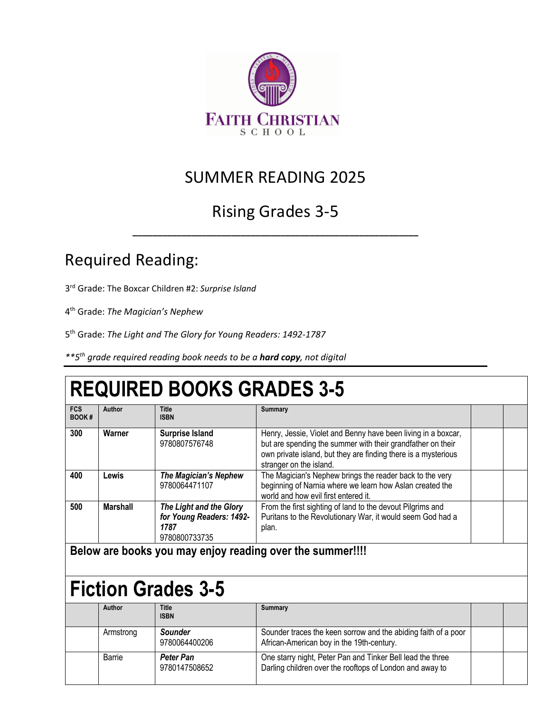

#### SUMMER READING 2025

### Rising Grades 3-5

**\_\_\_\_\_\_\_\_\_\_\_\_\_\_\_\_\_\_\_\_\_\_\_\_\_\_\_\_\_\_\_\_\_\_\_\_\_\_\_\_\_\_\_\_\_\_\_\_\_\_\_\_\_\_\_\_\_\_**

### Required Reading:

3rd Grade: The Boxcar Children #2: *Surprise Island*

4th Grade: *The Magician's Nephew*

5th Grade: *The Light and The Glory for Young Readers: 1492-1787*

*\*\*5th grade required reading book needs to be a hard copy, not digital* 

# **REQUIRED BOOKS GRADES 3-5**

| <b>FCS</b><br><b>BOOK#</b> | Author   | <b>Title</b><br><b>ISBN</b>                                                  | <b>Summary</b>                                                                                                                                                                                                            |  |
|----------------------------|----------|------------------------------------------------------------------------------|---------------------------------------------------------------------------------------------------------------------------------------------------------------------------------------------------------------------------|--|
| 300                        | Warner   | <b>Surprise Island</b><br>9780807576748                                      | Henry, Jessie, Violet and Benny have been living in a boxcar,<br>but are spending the summer with their grandfather on their<br>own private island, but they are finding there is a mysterious<br>stranger on the island. |  |
| 400                        | Lewis    | <b>The Magician's Nephew</b><br>9780064471107                                | The Magician's Nephew brings the reader back to the very<br>beginning of Narnia where we learn how Aslan created the<br>world and how evil first entered it.                                                              |  |
| 500                        | Marshall | The Light and the Glory<br>for Young Readers: 1492-<br>1787<br>9780800733735 | From the first sighting of land to the devout Pilgrims and<br>Puritans to the Revolutionary War, it would seem God had a<br>plan.                                                                                         |  |

**Below are books you may enjoy reading over the summer!!!!**

# **Fiction Grades 3-5**

| Author    | <b>Title</b><br><b>ISBN</b> | <b>Summary</b>                                                                                                         |  |
|-----------|-----------------------------|------------------------------------------------------------------------------------------------------------------------|--|
| Armstrong | Sounder<br>9780064400206    | Sounder traces the keen sorrow and the abiding faith of a poor<br>African-American boy in the 19th-century.            |  |
| Barrie    | Peter Pan<br>9780147508652  | One starry night, Peter Pan and Tinker Bell lead the three<br>Darling children over the rooftops of London and away to |  |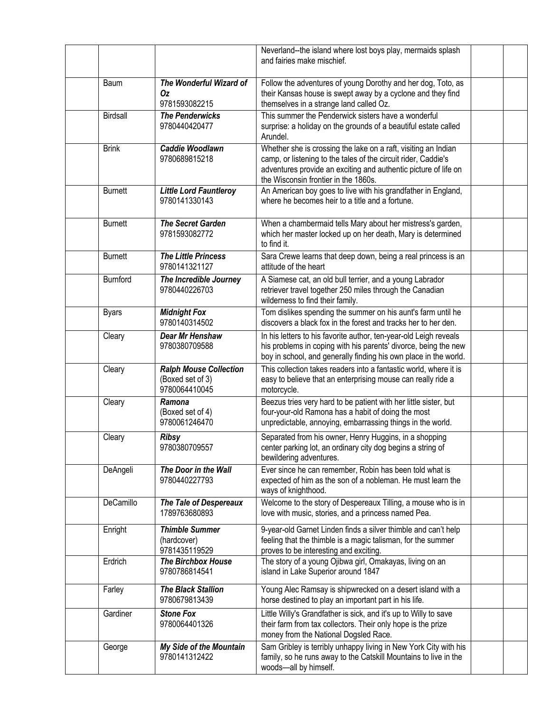|                 |                                                                    | Neverland--the island where lost boys play, mermaids splash<br>and fairies make mischief.                                                                                                                                                   |  |
|-----------------|--------------------------------------------------------------------|---------------------------------------------------------------------------------------------------------------------------------------------------------------------------------------------------------------------------------------------|--|
| Baum            | The Wonderful Wizard of<br>Οz<br>9781593082215                     | Follow the adventures of young Dorothy and her dog, Toto, as<br>their Kansas house is swept away by a cyclone and they find<br>themselves in a strange land called Oz.                                                                      |  |
| Birdsall        | <b>The Penderwicks</b><br>9780440420477                            | This summer the Penderwick sisters have a wonderful<br>surprise: a holiday on the grounds of a beautiful estate called<br>Arundel.                                                                                                          |  |
| <b>Brink</b>    | Caddie Woodlawn<br>9780689815218                                   | Whether she is crossing the lake on a raft, visiting an Indian<br>camp, or listening to the tales of the circuit rider, Caddie's<br>adventures provide an exciting and authentic picture of life on<br>the Wisconsin frontier in the 1860s. |  |
| <b>Burnett</b>  | <b>Little Lord Fauntleroy</b><br>9780141330143                     | An American boy goes to live with his grandfather in England,<br>where he becomes heir to a title and a fortune.                                                                                                                            |  |
| <b>Burnett</b>  | <b>The Secret Garden</b><br>9781593082772                          | When a chambermaid tells Mary about her mistress's garden,<br>which her master locked up on her death, Mary is determined<br>to find it.                                                                                                    |  |
| <b>Burnett</b>  | <b>The Little Princess</b><br>9780141321127                        | Sara Crewe learns that deep down, being a real princess is an<br>attitude of the heart                                                                                                                                                      |  |
| <b>Burnford</b> | The Incredible Journey<br>9780440226703                            | A Siamese cat, an old bull terrier, and a young Labrador<br>retriever travel together 250 miles through the Canadian<br>wilderness to find their family.                                                                                    |  |
| <b>Byars</b>    | <b>Midnight Fox</b><br>9780140314502                               | Tom dislikes spending the summer on his aunt's farm until he<br>discovers a black fox in the forest and tracks her to her den.                                                                                                              |  |
| Cleary          | Dear Mr Henshaw<br>9780380709588                                   | In his letters to his favorite author, ten-year-old Leigh reveals<br>his problems in coping with his parents' divorce, being the new<br>boy in school, and generally finding his own place in the world.                                    |  |
| Cleary          | <b>Ralph Mouse Collection</b><br>(Boxed set of 3)<br>9780064410045 | This collection takes readers into a fantastic world, where it is<br>easy to believe that an enterprising mouse can really ride a<br>motorcycle.                                                                                            |  |
| Cleary          | Ramona<br>(Boxed set of 4)<br>9780061246470                        | Beezus tries very hard to be patient with her little sister, but<br>four-your-old Ramona has a habit of doing the most<br>unpredictable, annoying, embarrassing things in the world.                                                        |  |
| Cleary          | <b>Ribsy</b><br>9780380709557                                      | Separated from his owner, Henry Huggins, in a shopping<br>center parking lot, an ordinary city dog begins a string of<br>bewildering adventures.                                                                                            |  |
| DeAngeli        | The Door in the Wall<br>9780440227793                              | Ever since he can remember, Robin has been told what is<br>expected of him as the son of a nobleman. He must learn the<br>ways of knighthood.                                                                                               |  |
| DeCamillo       | The Tale of Despereaux<br>1789763680893                            | Welcome to the story of Despereaux Tilling, a mouse who is in<br>love with music, stories, and a princess named Pea.                                                                                                                        |  |
| Enright         | <b>Thimble Summer</b><br>(hardcover)<br>9781435119529              | 9-year-old Garnet Linden finds a silver thimble and can't help<br>feeling that the thimble is a magic talisman, for the summer<br>proves to be interesting and exciting.                                                                    |  |
| Erdrich         | <b>The Birchbox House</b><br>9780786814541                         | The story of a young Ojibwa girl, Omakayas, living on an<br>island in Lake Superior around 1847                                                                                                                                             |  |
| Farley          | <b>The Black Stallion</b><br>9780679813439                         | Young Alec Ramsay is shipwrecked on a desert island with a<br>horse destined to play an important part in his life.                                                                                                                         |  |
| Gardiner        | <b>Stone Fox</b><br>9780064401326                                  | Little Willy's Grandfather is sick, and it's up to Willy to save<br>their farm from tax collectors. Their only hope is the prize<br>money from the National Dogsled Race.                                                                   |  |
| George          | My Side of the Mountain<br>9780141312422                           | Sam Gribley is terribly unhappy living in New York City with his<br>family, so he runs away to the Catskill Mountains to live in the<br>woods-all by himself.                                                                               |  |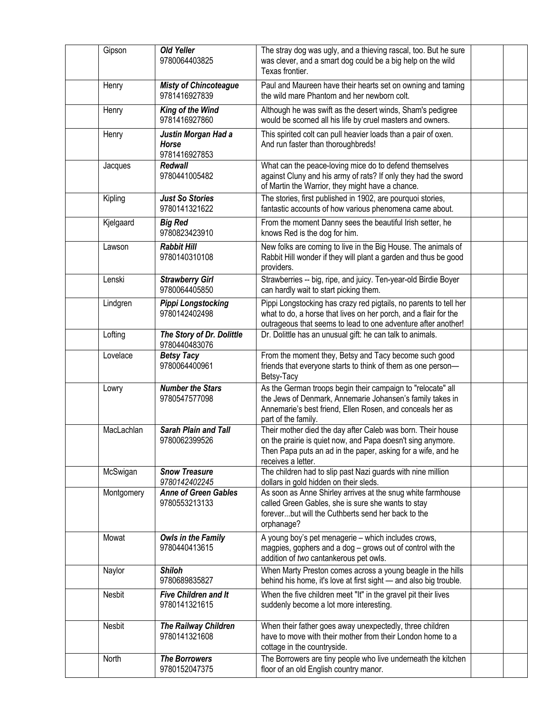| Gipson     | <b>Old Yeller</b><br>9780064403825                   | The stray dog was ugly, and a thieving rascal, too. But he sure<br>was clever, and a smart dog could be a big help on the wild<br>Texas frontier.                                                                |  |
|------------|------------------------------------------------------|------------------------------------------------------------------------------------------------------------------------------------------------------------------------------------------------------------------|--|
| Henry      | <b>Misty of Chincoteague</b><br>9781416927839        | Paul and Maureen have their hearts set on owning and taming<br>the wild mare Phantom and her newborn colt.                                                                                                       |  |
| Henry      | King of the Wind<br>9781416927860                    | Although he was swift as the desert winds, Sham's pedigree<br>would be scorned all his life by cruel masters and owners.                                                                                         |  |
| Henry      | Justin Morgan Had a<br><b>Horse</b><br>9781416927853 | This spirited colt can pull heavier loads than a pair of oxen.<br>And run faster than thoroughbreds!                                                                                                             |  |
| Jacques    | <b>Redwall</b><br>9780441005482                      | What can the peace-loving mice do to defend themselves<br>against Cluny and his army of rats? If only they had the sword<br>of Martin the Warrior, they might have a chance.                                     |  |
| Kipling    | <b>Just So Stories</b><br>9780141321622              | The stories, first published in 1902, are pourquoi stories,<br>fantastic accounts of how various phenomena came about.                                                                                           |  |
| Kjelgaard  | <b>Big Red</b><br>9780823423910                      | From the moment Danny sees the beautiful Irish setter, he<br>knows Red is the dog for him.                                                                                                                       |  |
| Lawson     | <b>Rabbit Hill</b><br>9780140310108                  | New folks are coming to live in the Big House. The animals of<br>Rabbit Hill wonder if they will plant a garden and thus be good<br>providers.                                                                   |  |
| Lenski     | <b>Strawberry Girl</b><br>9780064405850              | Strawberries -- big, ripe, and juicy. Ten-year-old Birdie Boyer<br>can hardly wait to start picking them.                                                                                                        |  |
| Lindgren   | <b>Pippi Longstocking</b><br>9780142402498           | Pippi Longstocking has crazy red pigtails, no parents to tell her<br>what to do, a horse that lives on her porch, and a flair for the<br>outrageous that seems to lead to one adventure after another!           |  |
| Lofting    | The Story of Dr. Dolittle<br>9780440483076           | Dr. Dolittle has an unusual gift: he can talk to animals.                                                                                                                                                        |  |
| Lovelace   | <b>Betsy Tacy</b><br>9780064400961                   | From the moment they, Betsy and Tacy become such good<br>friends that everyone starts to think of them as one person-<br>Betsy-Tacy                                                                              |  |
| Lowry      | <b>Number the Stars</b><br>9780547577098             | As the German troops begin their campaign to "relocate" all<br>the Jews of Denmark, Annemarie Johansen's family takes in<br>Annemarie's best friend, Ellen Rosen, and conceals her as<br>part of the family.     |  |
| MacLachlan | <b>Sarah Plain and Tall</b><br>9780062399526         | Their mother died the day after Caleb was born. Their house<br>on the prairie is quiet now, and Papa doesn't sing anymore.<br>Then Papa puts an ad in the paper, asking for a wife, and he<br>receives a letter. |  |
| McSwigan   | <b>Snow Treasure</b><br>9780142402245                | The children had to slip past Nazi guards with nine million<br>dollars in gold hidden on their sleds.                                                                                                            |  |
| Montgomery | <b>Anne of Green Gables</b><br>9780553213133         | As soon as Anne Shirley arrives at the snug white farmhouse<br>called Green Gables, she is sure she wants to stay<br>foreverbut will the Cuthberts send her back to the<br>orphanage?                            |  |
| Mowat      | Owls in the Family<br>9780440413615                  | A young boy's pet menagerie - which includes crows,<br>magpies, gophers and a dog - grows out of control with the<br>addition of two cantankerous pet owls.                                                      |  |
| Naylor     | <b>Shiloh</b><br>9780689835827                       | When Marty Preston comes across a young beagle in the hills<br>behind his home, it's love at first sight - and also big trouble.                                                                                 |  |
| Nesbit     | Five Children and It<br>9780141321615                | When the five children meet "It" in the gravel pit their lives<br>suddenly become a lot more interesting.                                                                                                        |  |
| Nesbit     | <b>The Railway Children</b><br>9780141321608         | When their father goes away unexpectedly, three children<br>have to move with their mother from their London home to a<br>cottage in the countryside.                                                            |  |
| North      | <b>The Borrowers</b><br>9780152047375                | The Borrowers are tiny people who live underneath the kitchen<br>floor of an old English country manor.                                                                                                          |  |